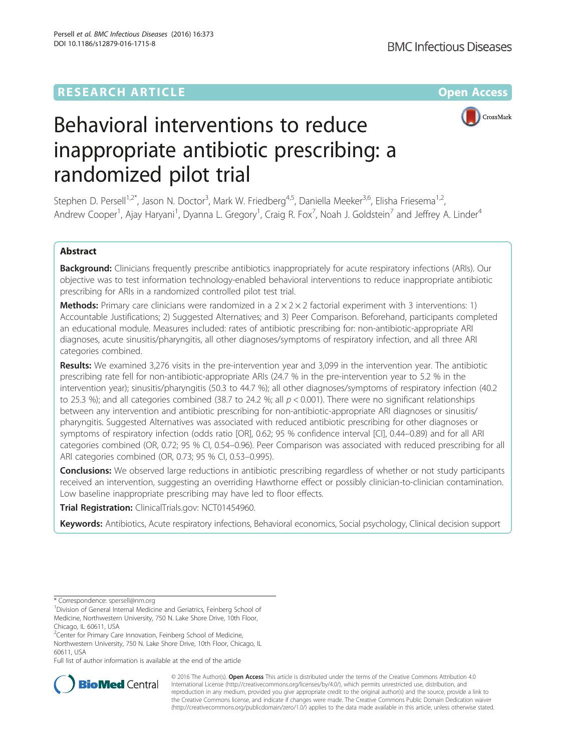# **RESEARCH ARTICLE Example 2014 12:30 The Company Access** (RESEARCH ARTICLE



# Behavioral interventions to reduce inappropriate antibiotic prescribing: a randomized pilot trial

Stephen D. Persell<sup>1,2\*</sup>, Jason N. Doctor<sup>3</sup>, Mark W. Friedberg<sup>4,5</sup>, Daniella Meeker<sup>3,6</sup>, Elisha Friesema<sup>1,2</sup>, Andrew Cooper<sup>1</sup>, Ajay Haryani<sup>1</sup>, Dyanna L. Gregory<sup>1</sup>, Craig R. Fox<sup>7</sup>, Noah J. Goldstein<sup>7</sup> and Jeffrey A. Linder<sup>4</sup>

# Abstract

Background: Clinicians frequently prescribe antibiotics inappropriately for acute respiratory infections (ARIs). Our objective was to test information technology-enabled behavioral interventions to reduce inappropriate antibiotic prescribing for ARIs in a randomized controlled pilot test trial.

**Methods:** Primary care clinicians were randomized in a  $2 \times 2 \times 2$  factorial experiment with 3 interventions: 1) Accountable Justifications; 2) Suggested Alternatives; and 3) Peer Comparison. Beforehand, participants completed an educational module. Measures included: rates of antibiotic prescribing for: non-antibiotic-appropriate ARI diagnoses, acute sinusitis/pharyngitis, all other diagnoses/symptoms of respiratory infection, and all three ARI categories combined.

Results: We examined 3,276 visits in the pre-intervention year and 3,099 in the intervention year. The antibiotic prescribing rate fell for non-antibiotic-appropriate ARIs (24.7 % in the pre-intervention year to 5.2 % in the intervention year); sinusitis/pharyngitis (50.3 to 44.7 %); all other diagnoses/symptoms of respiratory infection (40.2 to 25.3 %); and all categories combined (38.7 to 24.2 %; all  $p < 0.001$ ). There were no significant relationships between any intervention and antibiotic prescribing for non-antibiotic-appropriate ARI diagnoses or sinusitis/ pharyngitis. Suggested Alternatives was associated with reduced antibiotic prescribing for other diagnoses or symptoms of respiratory infection (odds ratio [OR], 0.62; 95 % confidence interval [CI], 0.44–0.89) and for all ARI categories combined (OR, 0.72; 95 % CI, 0.54–0.96). Peer Comparison was associated with reduced prescribing for all ARI categories combined (OR, 0.73; 95 % CI, 0.53–0.995).

Conclusions: We observed large reductions in antibiotic prescribing regardless of whether or not study participants received an intervention, suggesting an overriding Hawthorne effect or possibly clinician-to-clinician contamination. Low baseline inappropriate prescribing may have led to floor effects.

Trial Registration: ClinicalTrials.gov: [NCT01454960](https://clinicaltrials.gov/ct2/show/NCT01454960).

Keywords: Antibiotics, Acute respiratory infections, Behavioral economics, Social psychology, Clinical decision support

Full list of author information is available at the end of the article



© 2016 The Author(s). Open Access This article is distributed under the terms of the Creative Commons Attribution 4.0 International License [\(http://creativecommons.org/licenses/by/4.0/](http://creativecommons.org/licenses/by/4.0/)), which permits unrestricted use, distribution, and reproduction in any medium, provided you give appropriate credit to the original author(s) and the source, provide a link to the Creative Commons license, and indicate if changes were made. The Creative Commons Public Domain Dedication waiver [\(http://creativecommons.org/publicdomain/zero/1.0/](http://creativecommons.org/publicdomain/zero/1.0/)) applies to the data made available in this article, unless otherwise stated.

<sup>\*</sup> Correspondence: [spersell@nm.org](mailto:spersell@nm.org) <sup>1</sup>

<sup>&</sup>lt;sup>1</sup> Division of General Internal Medicine and Geriatrics, Feinberg School of Medicine, Northwestern University, 750 N. Lake Shore Drive, 10th Floor, Chicago, IL 60611, USA

<sup>&</sup>lt;sup>2</sup>Center for Primary Care Innovation, Feinberg School of Medicine,

Northwestern University, 750 N. Lake Shore Drive, 10th Floor, Chicago, IL 60611, USA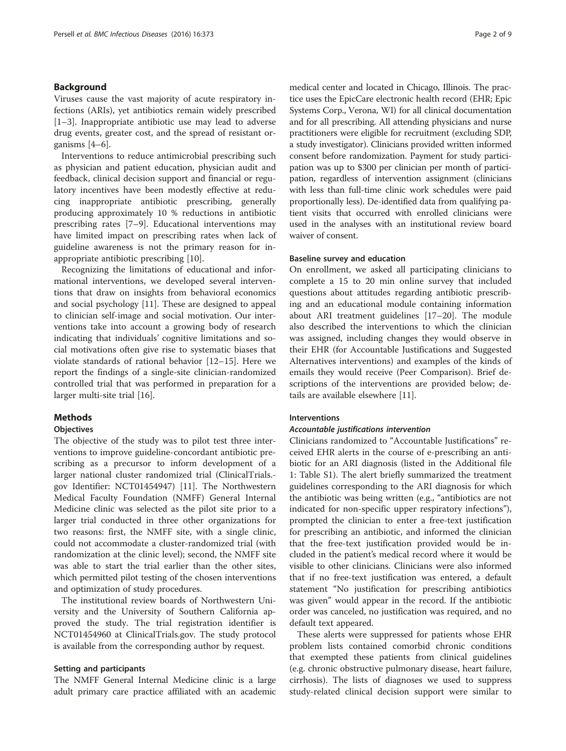# Background

Viruses cause the vast majority of acute respiratory infections (ARIs), yet antibiotics remain widely prescribed [[1](#page-8-0)–[3\]](#page-8-0). Inappropriate antibiotic use may lead to adverse drug events, greater cost, and the spread of resistant organisms [[4](#page-8-0)–[6](#page-8-0)].

Interventions to reduce antimicrobial prescribing such as physician and patient education, physician audit and feedback, clinical decision support and financial or regulatory incentives have been modestly effective at reducing inappropriate antibiotic prescribing, generally producing approximately 10 % reductions in antibiotic prescribing rates [\[7](#page-8-0)–[9\]](#page-8-0). Educational interventions may have limited impact on prescribing rates when lack of guideline awareness is not the primary reason for inappropriate antibiotic prescribing [[10](#page-8-0)].

Recognizing the limitations of educational and informational interventions, we developed several interventions that draw on insights from behavioral economics and social psychology [\[11](#page-8-0)]. These are designed to appeal to clinician self-image and social motivation. Our interventions take into account a growing body of research indicating that individuals' cognitive limitations and social motivations often give rise to systematic biases that violate standards of rational behavior [\[12](#page-8-0)–[15\]](#page-8-0). Here we report the findings of a single-site clinician-randomized controlled trial that was performed in preparation for a larger multi-site trial [[16\]](#page-8-0).

#### Methods

# **Objectives**

The objective of the study was to pilot test three interventions to improve guideline-concordant antibiotic prescribing as a precursor to inform development of a larger national cluster randomized trial (ClinicalTrials. gov Identifier: NCT01454947) [[11](#page-8-0)]. The Northwestern Medical Faculty Foundation (NMFF) General Internal Medicine clinic was selected as the pilot site prior to a larger trial conducted in three other organizations for two reasons: first, the NMFF site, with a single clinic, could not accommodate a cluster-randomized trial (with randomization at the clinic level); second, the NMFF site was able to start the trial earlier than the other sites, which permitted pilot testing of the chosen interventions and optimization of study procedures.

The institutional review boards of Northwestern University and the University of Southern California approved the study. The trial registration identifier is NCT01454960 at ClinicalTrials.gov. The study protocol is available from the corresponding author by request.

#### Setting and participants

The NMFF General Internal Medicine clinic is a large adult primary care practice affiliated with an academic

medical center and located in Chicago, Illinois. The practice uses the EpicCare electronic health record (EHR; Epic Systems Corp., Verona, WI) for all clinical documentation and for all prescribing. All attending physicians and nurse practitioners were eligible for recruitment (excluding SDP, a study investigator). Clinicians provided written informed consent before randomization. Payment for study participation was up to \$300 per clinician per month of participation, regardless of intervention assignment (clinicians with less than full-time clinic work schedules were paid proportionally less). De-identified data from qualifying patient visits that occurred with enrolled clinicians were used in the analyses with an institutional review board waiver of consent.

# Baseline survey and education

On enrollment, we asked all participating clinicians to complete a 15 to 20 min online survey that included questions about attitudes regarding antibiotic prescribing and an educational module containing information about ARI treatment guidelines [[17](#page-8-0)–[20](#page-8-0)]. The module also described the interventions to which the clinician was assigned, including changes they would observe in their EHR (for Accountable Justifications and Suggested Alternatives interventions) and examples of the kinds of emails they would receive (Peer Comparison). Brief descriptions of the interventions are provided below; details are available elsewhere [\[11\]](#page-8-0).

#### Interventions

# Accountable justifications intervention

Clinicians randomized to "Accountable Justifications" received EHR alerts in the course of e-prescribing an antibiotic for an ARI diagnosis (listed in the Additional file [1:](#page-7-0) Table S1). The alert briefly summarized the treatment guidelines corresponding to the ARI diagnosis for which the antibiotic was being written (e.g., "antibiotics are not indicated for non-specific upper respiratory infections"), prompted the clinician to enter a free-text justification for prescribing an antibiotic, and informed the clinician that the free-text justification provided would be included in the patient's medical record where it would be visible to other clinicians. Clinicians were also informed that if no free-text justification was entered, a default statement "No justification for prescribing antibiotics was given" would appear in the record. If the antibiotic order was canceled, no justification was required, and no default text appeared.

These alerts were suppressed for patients whose EHR problem lists contained comorbid chronic conditions that exempted these patients from clinical guidelines (e.g. chronic obstructive pulmonary disease, heart failure, cirrhosis). The lists of diagnoses we used to suppress study-related clinical decision support were similar to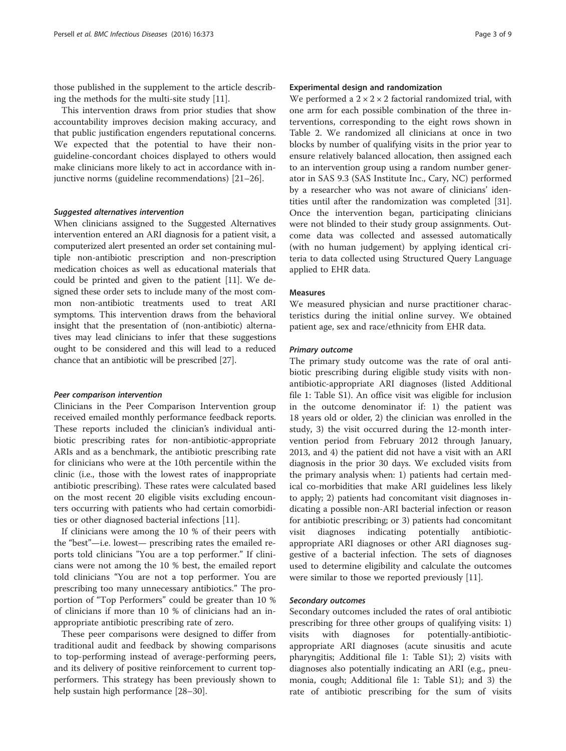those published in the supplement to the article describing the methods for the multi-site study [[11\]](#page-8-0).

This intervention draws from prior studies that show accountability improves decision making accuracy, and that public justification engenders reputational concerns. We expected that the potential to have their nonguideline-concordant choices displayed to others would make clinicians more likely to act in accordance with injunctive norms (guideline recommendations) [\[21](#page-8-0)–[26\]](#page-8-0).

#### Suggested alternatives intervention

When clinicians assigned to the Suggested Alternatives intervention entered an ARI diagnosis for a patient visit, a computerized alert presented an order set containing multiple non-antibiotic prescription and non-prescription medication choices as well as educational materials that could be printed and given to the patient [[11](#page-8-0)]. We designed these order sets to include many of the most common non-antibiotic treatments used to treat ARI symptoms. This intervention draws from the behavioral insight that the presentation of (non-antibiotic) alternatives may lead clinicians to infer that these suggestions ought to be considered and this will lead to a reduced chance that an antibiotic will be prescribed [\[27\]](#page-8-0).

#### Peer comparison intervention

Clinicians in the Peer Comparison Intervention group received emailed monthly performance feedback reports. These reports included the clinician's individual antibiotic prescribing rates for non-antibiotic-appropriate ARIs and as a benchmark, the antibiotic prescribing rate for clinicians who were at the 10th percentile within the clinic (i.e., those with the lowest rates of inappropriate antibiotic prescribing). These rates were calculated based on the most recent 20 eligible visits excluding encounters occurring with patients who had certain comorbidities or other diagnosed bacterial infections [\[11\]](#page-8-0).

If clinicians were among the 10 % of their peers with the "best"—i.e. lowest— prescribing rates the emailed reports told clinicians "You are a top performer." If clinicians were not among the 10 % best, the emailed report told clinicians "You are not a top performer. You are prescribing too many unnecessary antibiotics." The proportion of "Top Performers" could be greater than 10 % of clinicians if more than 10 % of clinicians had an inappropriate antibiotic prescribing rate of zero.

These peer comparisons were designed to differ from traditional audit and feedback by showing comparisons to top-performing instead of average-performing peers, and its delivery of positive reinforcement to current topperformers. This strategy has been previously shown to help sustain high performance [\[28](#page-8-0)–[30\]](#page-8-0).

# Experimental design and randomization

We performed a  $2 \times 2 \times 2$  factorial randomized trial, with one arm for each possible combination of the three interventions, corresponding to the eight rows shown in Table [2.](#page-4-0) We randomized all clinicians at once in two blocks by number of qualifying visits in the prior year to ensure relatively balanced allocation, then assigned each to an intervention group using a random number generator in SAS 9.3 (SAS Institute Inc., Cary, NC) performed by a researcher who was not aware of clinicians' identities until after the randomization was completed [\[31](#page-8-0)]. Once the intervention began, participating clinicians were not blinded to their study group assignments. Outcome data was collected and assessed automatically (with no human judgement) by applying identical criteria to data collected using Structured Query Language applied to EHR data.

#### Measures

We measured physician and nurse practitioner characteristics during the initial online survey. We obtained patient age, sex and race/ethnicity from EHR data.

#### Primary outcome

The primary study outcome was the rate of oral antibiotic prescribing during eligible study visits with nonantibiotic-appropriate ARI diagnoses (listed Additional file [1](#page-7-0): Table S1). An office visit was eligible for inclusion in the outcome denominator if: 1) the patient was 18 years old or older, 2) the clinician was enrolled in the study, 3) the visit occurred during the 12-month intervention period from February 2012 through January, 2013, and 4) the patient did not have a visit with an ARI diagnosis in the prior 30 days. We excluded visits from the primary analysis when: 1) patients had certain medical co-morbidities that make ARI guidelines less likely to apply; 2) patients had concomitant visit diagnoses indicating a possible non-ARI bacterial infection or reason for antibiotic prescribing; or 3) patients had concomitant visit diagnoses indicating potentially antibioticappropriate ARI diagnoses or other ARI diagnoses suggestive of a bacterial infection. The sets of diagnoses used to determine eligibility and calculate the outcomes were similar to those we reported previously [\[11](#page-8-0)].

#### Secondary outcomes

Secondary outcomes included the rates of oral antibiotic prescribing for three other groups of qualifying visits: 1) visits with diagnoses for potentially-antibioticappropriate ARI diagnoses (acute sinusitis and acute pharyngitis; Additional file [1:](#page-7-0) Table S1); 2) visits with diagnoses also potentially indicating an ARI (e.g., pneumonia, cough; Additional file [1](#page-7-0): Table S1); and 3) the rate of antibiotic prescribing for the sum of visits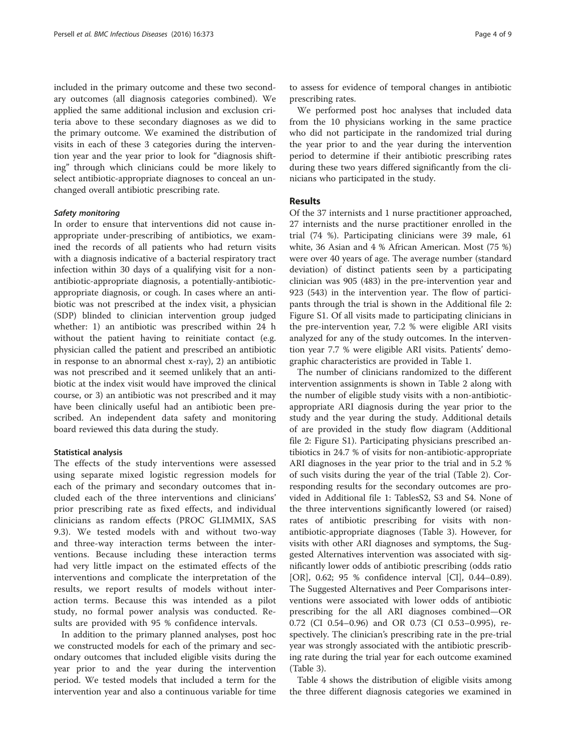included in the primary outcome and these two secondary outcomes (all diagnosis categories combined). We applied the same additional inclusion and exclusion criteria above to these secondary diagnoses as we did to the primary outcome. We examined the distribution of visits in each of these 3 categories during the intervention year and the year prior to look for "diagnosis shifting" through which clinicians could be more likely to select antibiotic-appropriate diagnoses to conceal an unchanged overall antibiotic prescribing rate.

# Safety monitoring

In order to ensure that interventions did not cause inappropriate under-prescribing of antibiotics, we examined the records of all patients who had return visits with a diagnosis indicative of a bacterial respiratory tract infection within 30 days of a qualifying visit for a nonantibiotic-appropriate diagnosis, a potentially-antibioticappropriate diagnosis, or cough. In cases where an antibiotic was not prescribed at the index visit, a physician (SDP) blinded to clinician intervention group judged whether: 1) an antibiotic was prescribed within 24 h without the patient having to reinitiate contact (e.g. physician called the patient and prescribed an antibiotic in response to an abnormal chest x-ray), 2) an antibiotic was not prescribed and it seemed unlikely that an antibiotic at the index visit would have improved the clinical course, or 3) an antibiotic was not prescribed and it may have been clinically useful had an antibiotic been prescribed. An independent data safety and monitoring board reviewed this data during the study.

#### Statistical analysis

The effects of the study interventions were assessed using separate mixed logistic regression models for each of the primary and secondary outcomes that included each of the three interventions and clinicians' prior prescribing rate as fixed effects, and individual clinicians as random effects (PROC GLIMMIX, SAS 9.3). We tested models with and without two-way and three-way interaction terms between the interventions. Because including these interaction terms had very little impact on the estimated effects of the interventions and complicate the interpretation of the results, we report results of models without interaction terms. Because this was intended as a pilot study, no formal power analysis was conducted. Results are provided with 95 % confidence intervals.

In addition to the primary planned analyses, post hoc we constructed models for each of the primary and secondary outcomes that included eligible visits during the year prior to and the year during the intervention period. We tested models that included a term for the intervention year and also a continuous variable for time to assess for evidence of temporal changes in antibiotic prescribing rates.

We performed post hoc analyses that included data from the 10 physicians working in the same practice who did not participate in the randomized trial during the year prior to and the year during the intervention period to determine if their antibiotic prescribing rates during these two years differed significantly from the clinicians who participated in the study.

# Results

Of the 37 internists and 1 nurse practitioner approached, 27 internists and the nurse practitioner enrolled in the trial (74 %). Participating clinicians were 39 male, 61 white, 36 Asian and 4 % African American. Most (75 %) were over 40 years of age. The average number (standard deviation) of distinct patients seen by a participating clinician was 905 (483) in the pre-intervention year and 923 (543) in the intervention year. The flow of participants through the trial is shown in the Additional file [2](#page-7-0): Figure S1. Of all visits made to participating clinicians in the pre-intervention year, 7.2 % were eligible ARI visits analyzed for any of the study outcomes. In the intervention year 7.7 % were eligible ARI visits. Patients' demographic characteristics are provided in Table [1](#page-4-0).

The number of clinicians randomized to the different intervention assignments is shown in Table [2](#page-4-0) along with the number of eligible study visits with a non-antibioticappropriate ARI diagnosis during the year prior to the study and the year during the study. Additional details of are provided in the study flow diagram (Additional file [2](#page-7-0): Figure S1). Participating physicians prescribed antibiotics in 24.7 % of visits for non-antibiotic-appropriate ARI diagnoses in the year prior to the trial and in 5.2 % of such visits during the year of the trial (Table [2\)](#page-4-0). Corresponding results for the secondary outcomes are provided in Additional file [1](#page-7-0): TablesS2, S3 and S4. None of the three interventions significantly lowered (or raised) rates of antibiotic prescribing for visits with nonantibiotic-appropriate diagnoses (Table [3](#page-5-0)). However, for visits with other ARI diagnoses and symptoms, the Suggested Alternatives intervention was associated with significantly lower odds of antibiotic prescribing (odds ratio [OR], 0.62; 95 % confidence interval [CI], 0.44–0.89). The Suggested Alternatives and Peer Comparisons interventions were associated with lower odds of antibiotic prescribing for the all ARI diagnoses combined—OR 0.72 (CI 0.54–0.96) and OR 0.73 (CI 0.53–0.995), respectively. The clinician's prescribing rate in the pre-trial year was strongly associated with the antibiotic prescribing rate during the trial year for each outcome examined (Table [3\)](#page-5-0).

Table [4](#page-5-0) shows the distribution of eligible visits among the three different diagnosis categories we examined in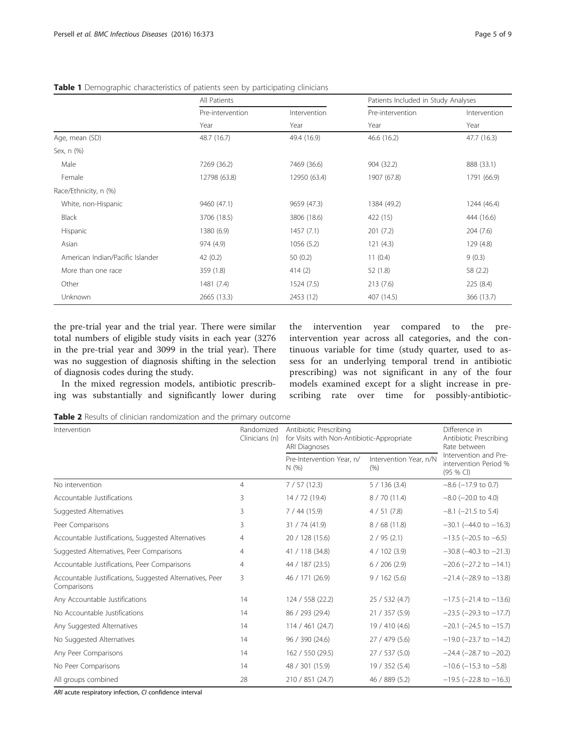|                                  | All Patients     |              | Patients Included in Study Analyses |                      |  |
|----------------------------------|------------------|--------------|-------------------------------------|----------------------|--|
|                                  | Pre-intervention | Intervention | Pre-intervention                    | Intervention<br>Year |  |
|                                  | Year             | Year         | Year                                |                      |  |
| Age, mean (SD)                   | 48.7 (16.7)      | 49.4 (16.9)  | 46.6(16.2)                          | 47.7 (16.3)          |  |
| Sex, n (%)                       |                  |              |                                     |                      |  |
| Male                             | 7269 (36.2)      | 7469 (36.6)  | 904 (32.2)                          | 888 (33.1)           |  |
| Female                           | 12798 (63.8)     | 12950 (63.4) | 1907 (67.8)                         | 1791 (66.9)          |  |
| Race/Ethnicity, n (%)            |                  |              |                                     |                      |  |
| White, non-Hispanic              | 9460 (47.1)      | 9659 (47.3)  | 1384 (49.2)                         | 1244 (46.4)          |  |
| <b>Black</b>                     | 3706 (18.5)      | 3806 (18.6)  | 422 (15)                            | 444 (16.6)           |  |
| Hispanic                         | 1380 (6.9)       | 1457(7.1)    | 201(7.2)                            | 204(7.6)             |  |
| Asian                            | 974 (4.9)        | 1056(5.2)    | 121(4.3)                            | 129 (4.8)            |  |
| American Indian/Pacific Islander | 42(0.2)          | 50(0.2)      | 11(0.4)                             | 9(0.3)               |  |
| More than one race               | 359 (1.8)        | 414(2)       | 52(1.8)                             | 58 (2.2)             |  |
| Other                            | 1481 (7.4)       | 1524 (7.5)   | 213(7.6)                            | 225 (8.4)            |  |
| Unknown                          | 2665 (13.3)      | 2453 (12)    | 407 (14.5)                          | 366 (13.7)           |  |

<span id="page-4-0"></span>Table 1 Demographic characteristics of patients seen by participating clinicians

the pre-trial year and the trial year. There were similar total numbers of eligible study visits in each year (3276 in the pre-trial year and 3099 in the trial year). There was no suggestion of diagnosis shifting in the selection of diagnosis codes during the study.

In the mixed regression models, antibiotic prescribing was substantially and significantly lower during the intervention year compared to the preintervention year across all categories, and the continuous variable for time (study quarter, used to assess for an underlying temporal trend in antibiotic prescribing) was not significant in any of the four models examined except for a slight increase in prescribing rate over time for possibly-antibiotic-

Table 2 Results of clinician randomization and the primary outcome

| Intervention                                                            | Randomized<br>Clinicians (n) | Antibiotic Prescribing<br>for Visits with Non-Antibiotic-Appropriate<br>ARI Diagnoses | Difference in<br>Antibiotic Prescribing<br>Rate between |                                                              |  |
|-------------------------------------------------------------------------|------------------------------|---------------------------------------------------------------------------------------|---------------------------------------------------------|--------------------------------------------------------------|--|
|                                                                         |                              | Pre-Intervention Year, n/<br>N(%)                                                     | Intervention Year, n/N<br>(% )                          | Intervention and Pre-<br>intervention Period %<br>$(95%$ CI) |  |
| No intervention                                                         | $\overline{4}$               | 7/57(12.3)                                                                            | 5/136(3.4)                                              | $-8.6$ ( $-17.9$ to 0.7)                                     |  |
| Accountable Justifications                                              | 3                            | 14 / 72 (19.4)                                                                        | 8/70(11.4)                                              | $-8.0$ ( $-20.0$ to 4.0)                                     |  |
| Suggested Alternatives                                                  | 3                            | 7/44(15.9)                                                                            | 4/51(7.8)                                               | $-8.1$ ( $-21.5$ to 5.4)                                     |  |
| Peer Comparisons                                                        | 3                            | 31 / 74 (41.9)                                                                        | 8/68(11.8)                                              | $-30.1$ ( $-44.0$ to $-16.3$ )                               |  |
| Accountable Justifications, Suggested Alternatives                      | 4                            | 20 / 128 (15.6)                                                                       | 2/95(2.1)                                               | $-13.5$ ( $-20.5$ to $-6.5$ )                                |  |
| Suggested Alternatives, Peer Comparisons                                | 4                            | 41 / 118 (34.8)                                                                       | 4/102(3.9)                                              | $-30.8$ ( $-40.3$ to $-21.3$ )                               |  |
| Accountable Justifications, Peer Comparisons                            | 4                            | 44 / 187 (23.5)                                                                       | 6/206(2.9)                                              | $-20.6$ ( $-27.2$ to $-14.1$ )                               |  |
| Accountable Justifications, Suggested Alternatives, Peer<br>Comparisons | 3                            | 46 / 171 (26.9)                                                                       | 9/162(5.6)                                              | $-21.4$ ( $-28.9$ to $-13.8$ )                               |  |
| Any Accountable Justifications                                          | 14                           | 124 / 558 (22.2)                                                                      | 25 / 532 (4.7)                                          | $-17.5$ ( $-21.4$ to $-13.6$ )                               |  |
| No Accountable Justifications                                           | 14                           | 86 / 293 (29.4)                                                                       | 21 / 357 (5.9)                                          | $-23.5$ ( $-29.3$ to $-17.7$ )                               |  |
| Any Suggested Alternatives                                              | 14                           | 114 / 461 (24.7)                                                                      | 19 / 410 (4.6)                                          | $-20.1$ ( $-24.5$ to $-15.7$ )                               |  |
| No Suggested Alternatives                                               | 14                           | 96 / 390 (24.6)                                                                       | 27/479(5.6)                                             | $-19.0$ ( $-23.7$ to $-14.2$ )                               |  |
| Any Peer Comparisons                                                    | 14                           | 162 / 550 (29.5)                                                                      | 27 / 537 (5.0)                                          | $-24.4$ ( $-28.7$ to $-20.2$ )                               |  |
| No Peer Comparisons                                                     | 14                           | 48 / 301 (15.9)                                                                       | 19 / 352 (5.4)                                          | $-10.6$ ( $-15.3$ to $-5.8$ )                                |  |
| All groups combined                                                     | 28                           | 210 / 851 (24.7)                                                                      | 46 / 889 (5.2)                                          | $-19.5$ ( $-22.8$ to $-16.3$ )                               |  |

ARI acute respiratory infection, CI confidence interval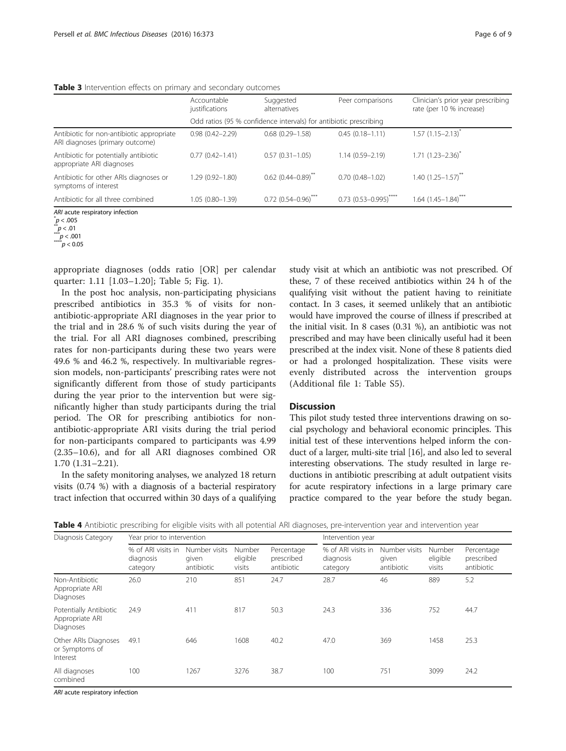# <span id="page-5-0"></span>Table 3 Intervention effects on primary and secondary outcomes

| justifications      | alternatives                       | Peer comparisons                     | Clinician's prior year prescribing<br>rate (per 10 % increase)    |
|---------------------|------------------------------------|--------------------------------------|-------------------------------------------------------------------|
|                     |                                    |                                      |                                                                   |
| $0.98(0.42 - 2.29)$ | $0.68(0.29 - 1.58)$                | $0.45(0.18 - 1.11)$                  | $1.57(1.15 - 2.13)^{T}$                                           |
| $0.77(0.42 - 1.41)$ | $0.57(0.31 - 1.05)$                | $1.14(0.59 - 2.19)$                  | $1.71$ $(1.23 - 2.36)^{*}$                                        |
| 1.29 (0.92-1.80)    | $0.62$ (0.44-0.89) <sup>**</sup>   | $0.70(0.48 - 1.02)$                  | $1.40(1.25 - 1.57)^{**}$                                          |
| 0.5 (0.80-1.39)     | $0.72$ (0.54-0.96) <sup>****</sup> | $0.73$ (0.53-0.995) <sup>*****</sup> | $1.64$ $(1.45-1.84)$ ***                                          |
|                     |                                    |                                      | Odd ratios (95 % confidence intervals) for antibiotic prescribing |

*ARI* acute respiratory infection  $\sum_{n=1}^{\infty}$  005

 $\sum_{n=0}^{8} p < .01$ <br> $\sum_{n=0}^{8} p < .001$ <br> $\sum_{n=0}^{8} p < .005$ 

appropriate diagnoses (odds ratio [OR] per calendar quarter: 1.11 [1.03–1.20]; Table [5](#page-6-0); Fig. [1](#page-6-0)).

In the post hoc analysis, non-participating physicians prescribed antibiotics in 35.3 % of visits for nonantibiotic-appropriate ARI diagnoses in the year prior to the trial and in 28.6 % of such visits during the year of the trial. For all ARI diagnoses combined, prescribing rates for non-participants during these two years were 49.6 % and 46.2 %, respectively. In multivariable regression models, non-participants' prescribing rates were not significantly different from those of study participants during the year prior to the intervention but were significantly higher than study participants during the trial period. The OR for prescribing antibiotics for nonantibiotic-appropriate ARI visits during the trial period for non-participants compared to participants was 4.99 (2.35–10.6), and for all ARI diagnoses combined OR 1.70 (1.31–2.21).

In the safety monitoring analyses, we analyzed 18 return visits (0.74 %) with a diagnosis of a bacterial respiratory tract infection that occurred within 30 days of a qualifying

study visit at which an antibiotic was not prescribed. Of these, 7 of these received antibiotics within 24 h of the qualifying visit without the patient having to reinitiate contact. In 3 cases, it seemed unlikely that an antibiotic would have improved the course of illness if prescribed at the initial visit. In 8 cases (0.31 %), an antibiotic was not prescribed and may have been clinically useful had it been prescribed at the index visit. None of these 8 patients died or had a prolonged hospitalization. These visits were evenly distributed across the intervention groups (Additional file [1:](#page-7-0) Table S5).

# **Discussion**

This pilot study tested three interventions drawing on social psychology and behavioral economic principles. This initial test of these interventions helped inform the conduct of a larger, multi-site trial [[16](#page-8-0)], and also led to several interesting observations. The study resulted in large reductions in antibiotic prescribing at adult outpatient visits for acute respiratory infections in a large primary care practice compared to the year before the study began.

| Diagnosis Category                                     | Year prior to intervention                  |                                      |                              |                                        | Intervention year                           |                                      |                              |                                        |
|--------------------------------------------------------|---------------------------------------------|--------------------------------------|------------------------------|----------------------------------------|---------------------------------------------|--------------------------------------|------------------------------|----------------------------------------|
|                                                        | % of ARI visits in<br>diagnosis<br>category | Number visits<br>given<br>antibiotic | Number<br>eligible<br>visits | Percentage<br>prescribed<br>antibiotic | % of ARI visits in<br>diagnosis<br>category | Number visits<br>given<br>antibiotic | Number<br>eligible<br>visits | Percentage<br>prescribed<br>antibiotic |
| Non-Antibiotic<br>Appropriate ARI<br>Diagnoses         | 26.0                                        | 210                                  | 851                          | 24.7                                   | 28.7                                        | 46                                   | 889                          | 5.2                                    |
| Potentially Antibiotic<br>Appropriate ARI<br>Diagnoses | 24.9                                        | 411                                  | 817                          | 50.3                                   | 24.3                                        | 336                                  | 752                          | 44.7                                   |
| Other ARIs Diagnoses<br>or Symptoms of<br>Interest     | 49.1                                        | 646                                  | 1608                         | 40.2                                   | 47.0                                        | 369                                  | 1458                         | 25.3                                   |
| All diagnoses<br>combined                              | 100                                         | 1267                                 | 3276                         | 38.7                                   | 100                                         | 751                                  | 3099                         | 24.2                                   |

Table 4 Antibiotic prescribing for eligible visits with all potential ARI diagnoses, pre-intervention year and intervention year

ARI acute respiratory infection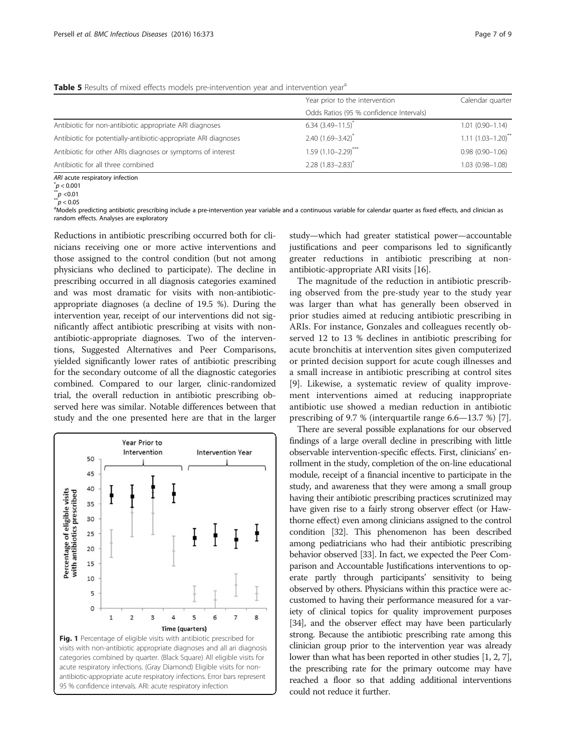<span id="page-6-0"></span>

|  |  | Table 5 Results of mixed effects models pre-intervention year and intervention year <sup>a</sup> |  |  |
|--|--|--------------------------------------------------------------------------------------------------|--|--|
|  |  |                                                                                                  |  |  |

|                                                                 | Year prior to the intervention          | Calendar quarter                   |
|-----------------------------------------------------------------|-----------------------------------------|------------------------------------|
|                                                                 | Odds Ratios (95 % confidence Intervals) |                                    |
| Antibiotic for non-antibiotic appropriate ARI diagnoses         | $6.34$ $(3.49 - 11.5)^{*}$              | $1.01(0.90 - 1.14)$                |
| Antibiotic for potentially-antibiotic-appropriate ARI diagnoses | $2.40(1.69 - 3.42)^{*}$                 | $1.11 (1.03 - 1.20)$ <sup>**</sup> |
| Antibiotic for other ARIs diagnoses or symptoms of interest     | $1.59(1.10-2.29)$ ***                   | $0.98(0.90 - 1.06)$                |
| Antibiotic for all three combined                               | $2.28(1.83 - 2.83)^{*}$                 | $1.03(0.98 - 1.08)$                |
| $AD1 = 1.14$ and $B2 = 1.14$ and $B3 = 1.14$ and $B4 = 1.14$    |                                         |                                    |

ARI acute respiratory infection

 $\stackrel{*}{\phantom{}_{p}} p < 0.001$ <br> $\stackrel{*}{\phantom{}_{p}} p < 0.01$ <br> $\stackrel{*}{\phantom{}_{p}} p < 0.05$ 

<sup>a</sup>Models predicting antibiotic prescribing include a pre-intervention year variable and a continuous variable for calendar quarter as fixed effects, and clinician as random effects. Analyses are exploratory

Reductions in antibiotic prescribing occurred both for clinicians receiving one or more active interventions and those assigned to the control condition (but not among physicians who declined to participate). The decline in prescribing occurred in all diagnosis categories examined and was most dramatic for visits with non-antibioticappropriate diagnoses (a decline of 19.5 %). During the intervention year, receipt of our interventions did not significantly affect antibiotic prescribing at visits with nonantibiotic-appropriate diagnoses. Two of the interventions, Suggested Alternatives and Peer Comparisons, yielded significantly lower rates of antibiotic prescribing for the secondary outcome of all the diagnostic categories combined. Compared to our larger, clinic-randomized trial, the overall reduction in antibiotic prescribing observed here was similar. Notable differences between that study and the one presented here are that in the larger



study—which had greater statistical power—accountable justifications and peer comparisons led to significantly greater reductions in antibiotic prescribing at nonantibiotic-appropriate ARI visits [[16](#page-8-0)].

The magnitude of the reduction in antibiotic prescribing observed from the pre-study year to the study year was larger than what has generally been observed in prior studies aimed at reducing antibiotic prescribing in ARIs. For instance, Gonzales and colleagues recently observed 12 to 13 % declines in antibiotic prescribing for acute bronchitis at intervention sites given computerized or printed decision support for acute cough illnesses and a small increase in antibiotic prescribing at control sites [[9\]](#page-8-0). Likewise, a systematic review of quality improvement interventions aimed at reducing inappropriate antibiotic use showed a median reduction in antibiotic prescribing of 9.7 % (interquartile range 6.6—13.7 %) [[7\]](#page-8-0).

There are several possible explanations for our observed findings of a large overall decline in prescribing with little observable intervention-specific effects. First, clinicians' enrollment in the study, completion of the on-line educational module, receipt of a financial incentive to participate in the study, and awareness that they were among a small group having their antibiotic prescribing practices scrutinized may have given rise to a fairly strong observer effect (or Hawthorne effect) even among clinicians assigned to the control condition [[32](#page-8-0)]. This phenomenon has been described among pediatricians who had their antibiotic prescribing behavior observed [\[33](#page-8-0)]. In fact, we expected the Peer Comparison and Accountable Justifications interventions to operate partly through participants' sensitivity to being observed by others. Physicians within this practice were accustomed to having their performance measured for a variety of clinical topics for quality improvement purposes [[34](#page-8-0)], and the observer effect may have been particularly strong. Because the antibiotic prescribing rate among this clinician group prior to the intervention year was already lower than what has been reported in other studies [\[1, 2](#page-8-0), [7](#page-8-0)], the prescribing rate for the primary outcome may have reached a floor so that adding additional interventions could not reduce it further.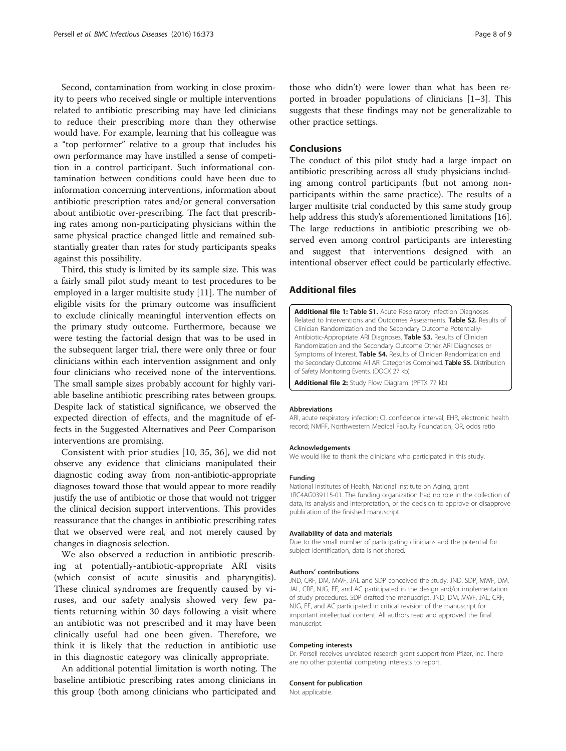<span id="page-7-0"></span>Second, contamination from working in close proximity to peers who received single or multiple interventions related to antibiotic prescribing may have led clinicians to reduce their prescribing more than they otherwise would have. For example, learning that his colleague was a "top performer" relative to a group that includes his own performance may have instilled a sense of competition in a control participant. Such informational contamination between conditions could have been due to information concerning interventions, information about antibiotic prescription rates and/or general conversation about antibiotic over-prescribing. The fact that prescribing rates among non-participating physicians within the same physical practice changed little and remained substantially greater than rates for study participants speaks against this possibility.

Third, this study is limited by its sample size. This was a fairly small pilot study meant to test procedures to be employed in a larger multisite study [\[11](#page-8-0)]. The number of eligible visits for the primary outcome was insufficient to exclude clinically meaningful intervention effects on the primary study outcome. Furthermore, because we were testing the factorial design that was to be used in the subsequent larger trial, there were only three or four clinicians within each intervention assignment and only four clinicians who received none of the interventions. The small sample sizes probably account for highly variable baseline antibiotic prescribing rates between groups. Despite lack of statistical significance, we observed the expected direction of effects, and the magnitude of effects in the Suggested Alternatives and Peer Comparison interventions are promising.

Consistent with prior studies [[10](#page-8-0), [35, 36](#page-8-0)], we did not observe any evidence that clinicians manipulated their diagnostic coding away from non-antibiotic-appropriate diagnoses toward those that would appear to more readily justify the use of antibiotic or those that would not trigger the clinical decision support interventions. This provides reassurance that the changes in antibiotic prescribing rates that we observed were real, and not merely caused by changes in diagnosis selection.

We also observed a reduction in antibiotic prescribing at potentially-antibiotic-appropriate ARI visits (which consist of acute sinusitis and pharyngitis). These clinical syndromes are frequently caused by viruses, and our safety analysis showed very few patients returning within 30 days following a visit where an antibiotic was not prescribed and it may have been clinically useful had one been given. Therefore, we think it is likely that the reduction in antibiotic use in this diagnostic category was clinically appropriate.

An additional potential limitation is worth noting. The baseline antibiotic prescribing rates among clinicians in this group (both among clinicians who participated and those who didn't) were lower than what has been reported in broader populations of clinicians [[1](#page-8-0)–[3\]](#page-8-0). This suggests that these findings may not be generalizable to other practice settings.

#### Conclusions

The conduct of this pilot study had a large impact on antibiotic prescribing across all study physicians including among control participants (but not among nonparticipants within the same practice). The results of a larger multisite trial conducted by this same study group help address this study's aforementioned limitations [\[16](#page-8-0)]. The large reductions in antibiotic prescribing we observed even among control participants are interesting and suggest that interventions designed with an intentional observer effect could be particularly effective.

# Additional files

[Additional file 1:](dx.doi.org/10.1186/s12879-016-1715-8) Table S1. Acute Respiratory Infection Diagnoses Related to Interventions and Outcomes Assessments. Table S2. Results of Clinician Randomization and the Secondary Outcome Potentially-Antibiotic-Appropriate ARI Diagnoses. Table S3. Results of Clinician Randomization and the Secondary Outcome Other ARI Diagnoses or Symptoms of Interest. Table S4. Results of Clinician Randomization and the Secondary Outcome All ARI Categories Combined. Table S5. Distribution of Safety Monitoring Events. (DOCX 27 kb)

[Additional file 2:](dx.doi.org/10.1186/s12879-016-1715-8) Study Flow Diagram. (PPTX 77 kb)

#### Abbreviations

ARI, acute respiratory infection; CI, confidence interval; EHR, electronic health record; NMFF, Northwestern Medical Faculty Foundation; OR, odds ratio

#### Acknowledgements

We would like to thank the clinicians who participated in this study.

#### Funding

National Institutes of Health, National Institute on Aging, grant 1RC4AG039115-01. The funding organization had no role in the collection of data, its analysis and interpretation, or the decision to approve or disapprove publication of the finished manuscript.

#### Availability of data and materials

Due to the small number of participating clinicians and the potential for subject identification, data is not shared.

#### Authors' contributions

JND, CRF, DM, MWF, JAL and SDP conceived the study. JND, SDP, MWF, DM, JAL, CRF, NJG, EF, and AC participated in the design and/or implementation of study procedures. SDP drafted the manuscript. JND, DM, MWF, JAL, CRF, NJG, EF, and AC participated in critical revision of the manuscript for important intellectual content. All authors read and approved the final manuscript.

#### Competing interests

Dr. Persell receives unrelated research grant support from Pfizer, Inc. There are no other potential competing interests to report.

#### Consent for publication

Not applicable.